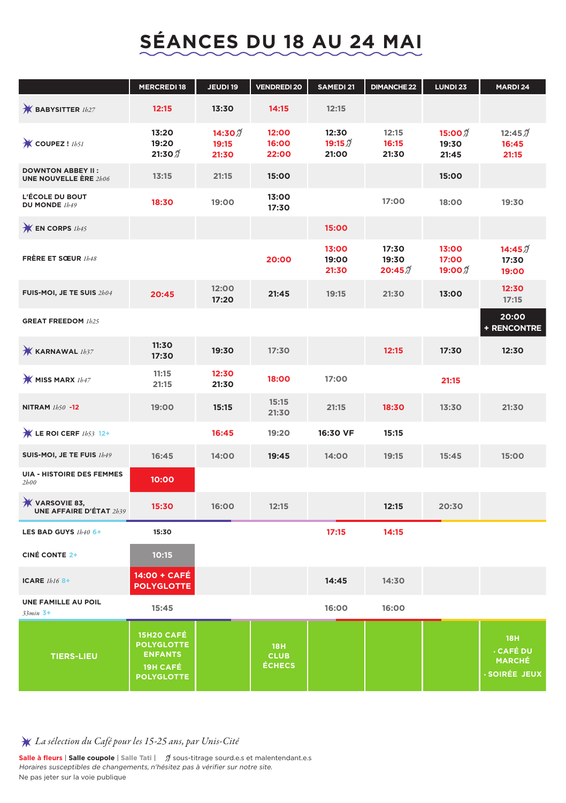## **SÉANCES DU 18 AU 24 MAI**

|                                                          | <b>MERCREDI18</b>                                                                         | JEUDI 19                               | <b>VENDREDI 20</b>                         | SAMEDI 21                   | <b>DIMANCHE 22</b>       | LUNDI 23                              | MARDI 24                                                            |
|----------------------------------------------------------|-------------------------------------------------------------------------------------------|----------------------------------------|--------------------------------------------|-----------------------------|--------------------------|---------------------------------------|---------------------------------------------------------------------|
| $*$ BABYSITTER $1h27$                                    | 12:15                                                                                     | 13:30                                  | 14:15                                      | 12:15                       |                          |                                       |                                                                     |
| <b>K</b> COUPEZ! Ibsi                                    | 13:20<br>19:20<br>21:30 $\mathcal I$                                                      | 14:30 $\mathfrak{I}$<br>19:15<br>21:30 | 12:00<br>16:00<br>22:00                    | 12:30<br>$19:15\%$<br>21:00 | 12:15<br>16:15<br>21:30  | 15:00 2<br>19:30<br>21:45             | 12:45 $\vartheta$<br>16:45<br>21:15                                 |
| <b>DOWNTON ABBEY II:</b><br><b>UNE NOUVELLE ÈRE 2h06</b> | 13:15                                                                                     | 21:15                                  | 15:00                                      |                             |                          | 15:00                                 |                                                                     |
| L'ÉCOLE DU BOUT<br>DU MONDE 1h49                         | 18:30                                                                                     | 19:00                                  | 13:00<br>17:30                             |                             | 17:00                    | 18:00                                 | 19:30                                                               |
| <b>K</b> EN CORPS 1b45                                   |                                                                                           |                                        |                                            | 15:00                       |                          |                                       |                                                                     |
| FRÈRE ET SOEUR 1b48                                      |                                                                                           |                                        | 20:00                                      | 13:00<br>19:00<br>21:30     | 17:30<br>19:30<br>20:45% | 13:00<br>17:00<br>19:00 $\mathcal{J}$ | 14:45 $\%$<br>17:30<br>19:00                                        |
| FUIS-MOI, JE TE SUIS 2h04                                | 20:45                                                                                     | 12:00<br>17:20                         | 21:45                                      | 19:15                       | 21:30                    | 13:00                                 | 12:30<br>17:15                                                      |
| <b>GREAT FREEDOM 1h25</b>                                |                                                                                           |                                        |                                            |                             |                          |                                       | 20:00<br>+ RENCONTRE                                                |
| <b>K KARNAWAL</b> 1b37                                   | 11:30<br>17:30                                                                            | 19:30                                  | 17:30                                      |                             | 12:15                    | 17:30                                 | 12:30                                                               |
| <b>W MISS MARX</b> 1b47                                  | 11:15<br>21:15                                                                            | 12:30<br>21:30                         | 18:00                                      | 17:00                       |                          | 21:15                                 |                                                                     |
| NITRAM 1b50 -12                                          | 19:00                                                                                     | 15:15                                  | 15:15<br>21:30                             | 21:15                       | 18:30                    | 13:30                                 | 21:30                                                               |
| $\mathcal{H}$ LE ROI CERF $1b53$ 12+                     |                                                                                           | 16:45                                  | 19:20                                      | 16:30 VF                    | 15:15                    |                                       |                                                                     |
| SUIS-MOI, JE TE FUIS 1h49                                | 16:45                                                                                     | 14:00                                  | 19:45                                      | 14:00                       | 19:15                    | 15:45                                 | 15:00                                                               |
| <b>UIA - HISTOIRE DES FEMMES</b><br>2h00                 | 10:00                                                                                     |                                        |                                            |                             |                          |                                       |                                                                     |
| <b>W</b> VARSOVIE 83,<br><b>UNE AFFAIRE D'ÉTAT 2h39</b>  | 15:30                                                                                     | 16:00                                  | 12:15                                      |                             | 12:15                    | 20:30                                 |                                                                     |
| LES BAD GUYS 1b40 6+                                     | 15:30                                                                                     |                                        |                                            | 17:15                       | 14:15                    |                                       |                                                                     |
| <b>CINÉ CONTE 2+</b>                                     | 10:15                                                                                     |                                        |                                            |                             |                          |                                       |                                                                     |
| ICARE $1h16B+$                                           | 14:00 + CAFÉ<br><b>POLYGLOTTE</b>                                                         |                                        |                                            | 14:45                       | 14:30                    |                                       |                                                                     |
| UNE FAMILLE AU POIL<br>$33min$ 3+                        | 15:45                                                                                     |                                        |                                            | 16:00                       | 16:00                    |                                       |                                                                     |
| <b>TIERS-LIEU</b>                                        | 15H2O CAFÉ<br><b>POLYGLOTTE</b><br><b>ENFANTS</b><br><b>19H CAFÉ</b><br><b>POLYGLOTTE</b> |                                        | <b>18H</b><br><b>CLUB</b><br><b>ÉCHECS</b> |                             |                          |                                       | <b>18H</b><br><b>CAFÉ DU</b><br><b>MARCHÉ</b><br><b>SOIRÉE JEUX</b> |

## *La sélection du Café pour les 15-25 ans, par Unis-Cité*

**Salle à fleurs | Salle coupole |** Salle Tati |  $\pi$  sous-titrage sourd.e.s et malentendant.e.s Horaires susceptibles de changements, n'hésitez pas à vérifier sur notre site. Ne pas jeter sur la voie publique